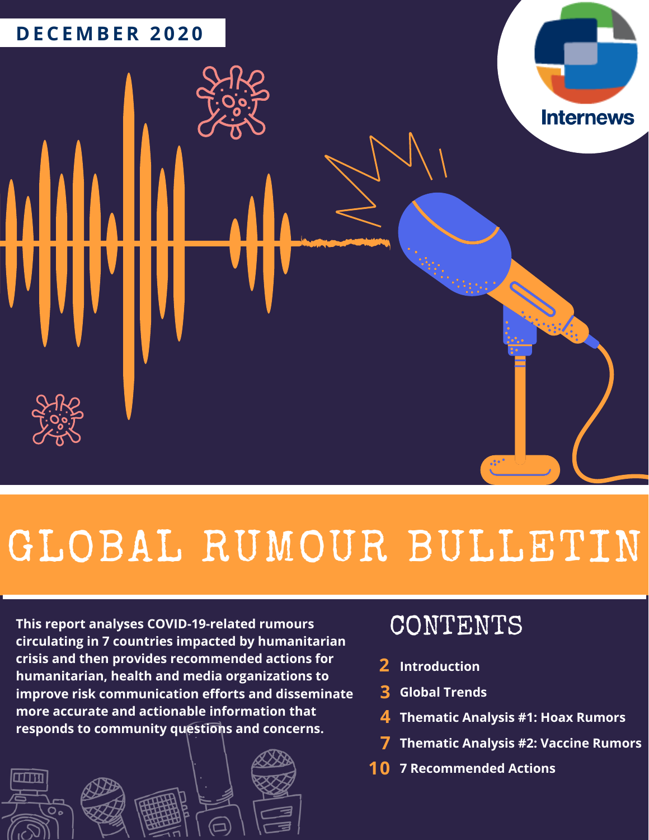

# GLOBAL RUMOUR BULLETIN

**This report analyses COVID-19-related rumours circulating in 7 countries impacted by humanitarian crisis and then provides recommended actions for humanitarian, health and media organizations to improve risk communication efforts and disseminate more accurate and actionable information that responds to community questions and concerns.**



## CONTENTS

- **Introduction 2**
- **Global Trends 3**
- **Thematic Analysis #1: Hoax Rumors 4**
- **Thematic Analysis #2: Vaccine Rumors 7**
- **7 Recommended Actions 10**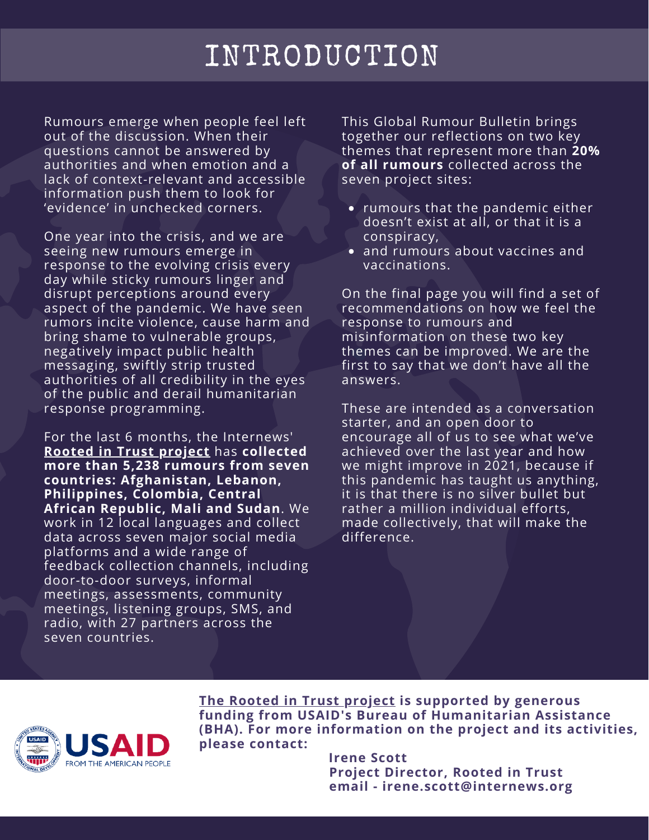## INTRODUCTION

Rumours emerge when people feel left out of the discussion. When their questions cannot be answered by authorities and when emotion and a lack of context-relevant and accessible information push them to look for 'evidence' in unchecked corners.

One year into the crisis, and we are seeing new rumours emerge in response to the evolving crisis every day while sticky rumours linger and disrupt perceptions around every aspect of the pandemic. We have seen rumors incite violence, cause harm and bring shame to vulnerable groups, negatively impact public health messaging, swiftly strip trusted authorities of all credibility in the eyes of the public and derail humanitarian response programming.

For the last 6 months, the Internews' **Rooted in Trust [project](https://humanitarian.internews.org/rit)** has **collected more than 5,238 rumours from seven countries: Afghanistan, Lebanon, Philippines, Colombia, Central African Republic, Mali and Sudan**. We work in 12 local languages and collect data across seven major social media platforms and a wide range of feedback collection channels, including door-to-door surveys, informal meetings, assessments, community meetings, listening groups, SMS, and radio, with 27 partners across the seven countries.

This Global Rumour Bulletin brings together our reflections on two key themes that represent more than **20% of all rumours** collected across the seven project sites:

- rumours that the pandemic either doesn't exist at all, or that it is a conspiracy,
- and rumours about vaccines and vaccinations.

On the final page you will find a set of recommendations on how we feel the response to rumours and misinformation on these two key themes can be improved. We are the first to say that we don't have all the answers.

These are intended as a conversation starter, and an open door to encourage all of us to see what we've achieved over the last year and how we might improve in 2021, because if this pandemic has taught us anything, it is that there is no silver bullet but rather a million individual efforts, made collectively, that will make the difference.



**The Rooted in Trust [project](https://humanitarian.internews.org/rit) is supported by generous funding from USAID's Bureau of Humanitarian Assistance (BHA). For more information on the project and its activities, please contact:**

> **Irene Scott Project Director, Rooted in Trust email - irene.scott@internews.org**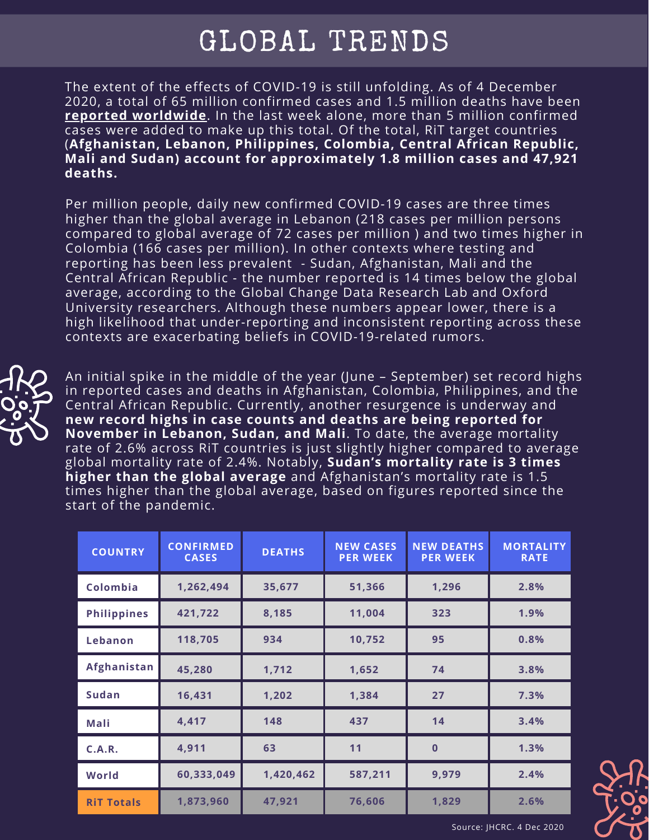## GLOBAL TRENDS

The extent of the effects of COVID-19 is still unfolding. As of 4 December 2020, a total of 65 million confirmed cases and 1.5 million deaths have been **reported [worldwide](https://ourworldindata.org/coronavirus)**. In the last week alone, more than 5 million confirmed cases were added to make up this total. Of the total, RiT target countries (**Afghanistan, Lebanon, Philippines, Colombia, Central African Republic, Mali and Sudan) account for approximately 1.8 million cases and 47,921 deaths.**

Per million people, daily new confirmed COVID-19 cases are three times higher than the global average in Lebanon (218 cases per million persons compared to global average of 72 cases per million ) and two times higher in Colombia (166 cases per million). In other contexts where testing and reporting has been less prevalent - Sudan, Afghanistan, Mali and the Central African Republic - the number reported is 14 times below the global average, according to the Global Change Data Research Lab and Oxford University researchers. Although these numbers appear lower, there is a high likelihood that under-reporting and inconsistent reporting across these contexts are exacerbating beliefs in COVID-19-related rumors.



An initial spike in the middle of the year (June – September) set record highs in reported cases and deaths in Afghanistan, Colombia, Philippines, and the Central African Republic. Currently, another resurgence is underway and **new record highs in case counts and deaths are being reported for November in Lebanon, Sudan, and Mali**. To date, the average mortality rate of 2.6% across RiT countries is just slightly higher compared to average global mortality rate of 2.4%. Notably, **Sudan's mortality rate is 3 times higher than the global average** and Afghanistan's mortality rate is 1.5 times higher than the global average, based on figures reported since the start of the pandemic.

| <b>COUNTRY</b>     | <b>CONFIRMED</b><br><b>CASES</b> | <b>DEATHS</b> | <b>NEW CASES</b><br><b>PER WEEK</b> | <b>NEW DEATHS</b><br><b>PER WEEK</b> | <b>MORTALITY</b><br><b>RATE</b> |
|--------------------|----------------------------------|---------------|-------------------------------------|--------------------------------------|---------------------------------|
| Colombia           | 1,262,494                        | 35,677        | 51,366                              | 1,296                                | 2.8%                            |
| <b>Philippines</b> | 421,722                          | 8,185         | 11,004                              | 323                                  | 1.9%                            |
| Lebanon            | 118,705                          | 934           | 10,752                              | 95                                   | 0.8%                            |
| Afghanistan        | 45,280                           | 1,712         | 1,652                               | 74                                   | 3.8%                            |
| <b>Sudan</b>       | 16,431                           | 1,202         | 1,384                               | 27                                   | 7.3%                            |
| Mali               | 4,417                            | 148           | 437                                 | 14                                   | 3.4%                            |
| C.A.R.             | 4,911                            | 63            | 11                                  | $\mathbf{0}$                         | 1.3%                            |
| World              | 60,333,049                       | 1,420,462     | 587,211                             | 9,979                                | 2.4%                            |
| <b>RiT Totals</b>  | 1,873,960                        | 47,921        | 76,606                              | 1,829                                | 2.6%                            |



Source: JHCRC. 4 Dec 2020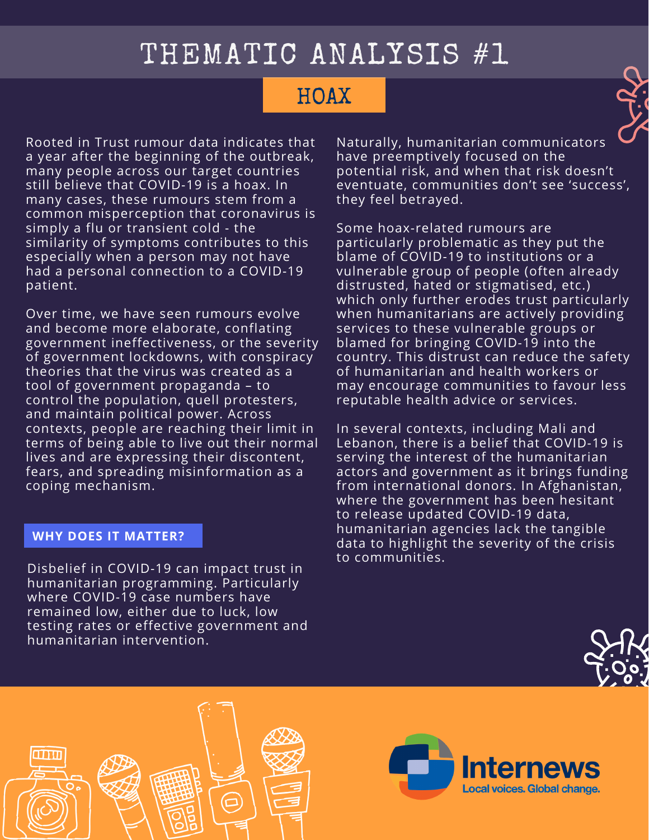## THEMATIC ANALYSIS #1

### **HOAX**

Rooted in Trust rumour data indicates that a year after the beginning of the outbreak, many people across our target countries still believe that COVID-19 is a hoax. In many cases, these rumours stem from a common misperception that coronavirus is simply a flu or transient cold - the similarity of symptoms contributes to this especially when a person may not have had a personal connection to a COVID-19 patient.

Over time, we have seen rumours evolve and become more elaborate, conflating government ineffectiveness, or the severity of government lockdowns, with conspiracy theories that the virus was created as a tool of government propaganda – to control the population, quell protesters, and maintain political power. Across contexts, people are reaching their limit in terms of being able to live out their normal lives and are expressing their discontent, fears, and spreading misinformation as a coping mechanism.

#### **WHY DOES IT MATTER?**

Disbelief in COVID-19 can impact trust in humanitarian programming. Particularly where COVID-19 case numbers have remained low, either due to luck, low testing rates or effective government and humanitarian intervention.

Naturally, humanitarian communicators have preemptively focused on the potential risk, and when that risk doesn't eventuate, communities don't see 'success', they feel betrayed.

Some hoax-related rumours are particularly problematic as they put the blame of COVID-19 to institutions or a vulnerable group of people (often already distrusted, hated or stigmatised, etc.) which only further erodes trust particularly when humanitarians are actively providing services to these vulnerable groups or blamed for bringing COVID-19 into the country. This distrust can reduce the safety of humanitarian and health workers or may encourage communities to favour less reputable health advice or services.

In several contexts, including Mali and Lebanon, there is a belief that COVID-19 is serving the interest of the humanitarian actors and government as it brings funding from international donors. In Afghanistan, where the government has been hesitant to release updated COVID-19 data, humanitarian agencies lack the tangible data to highlight the severity of the crisis to communities.





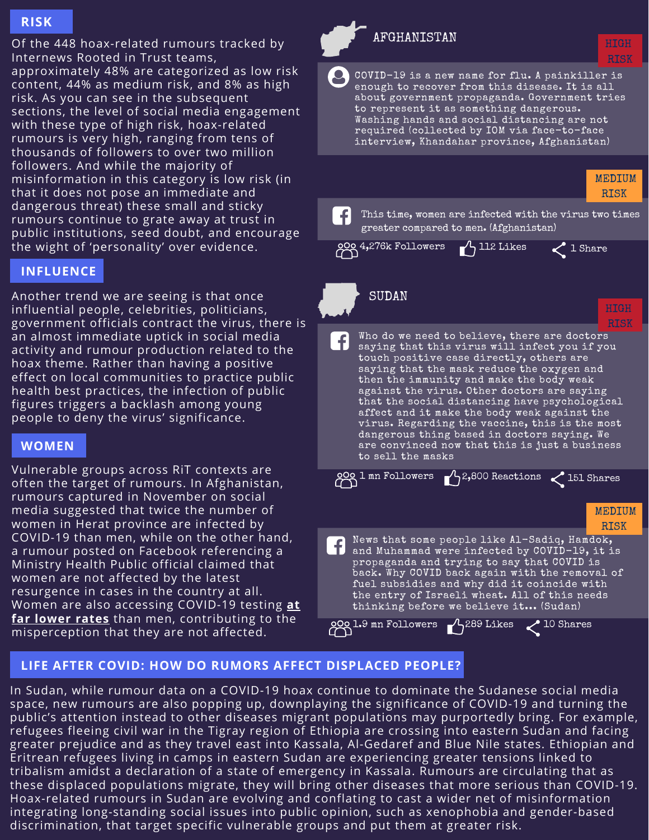#### **RISK**

Of the 448 hoax-related rumours tracked by Internews Rooted in Trust teams, approximately 48% are categorized as low risk content, 44% as medium risk, and 8% as high risk. As you can see in the subsequent sections, the level of social media engagement with these type of high risk, hoax-related rumours is very high, ranging from tens of thousands of followers to over two million followers. And while the majority of misinformation in this category is low risk (in that it does not pose an immediate and dangerous threat) these small and sticky rumours continue to grate away at trust in public institutions, seed doubt, and encourage the wight of 'personality' over evidence.

#### **INFLUENCE**

Another trend we are seeing is that once influential people, celebrities, politicians, government officials contract the virus, there is an almost immediate uptick in social media activity and rumour production related to the hoax theme. Rather than having a positive effect on local communities to practice public health best practices, the infection of public figures triggers a backlash among young people to deny the virus' significance.

#### **WOMEN**

Vulnerable groups across RiT contexts are often the target of rumours. In Afghanistan, rumours captured in November on social media suggested that twice the number of women in Herat province are infected by COVID-19 than men, while on the other hand, a rumour posted on Facebook referencing a Ministry Health Public official claimed that women are not affected by the latest resurgence in cases in the country at all. Women are also accessing COVID-19 testing **at far lower rates** than men, [contributing](https://www.thenewhumanitarian.org/news/2020/06/24/Afghanistan-coronavirus-health-women) to the misperception that they are not affected.



the entry of Israeli wheat. All of this needs thinking before we believe it... (Sudan) 200 l.9 mn Followers 1,289 Likes 10 Shares

fuel subsidies and why did it coincide with

#### **LIFE AFTER COVID: HOW DO RUMORS AFFECT DISPLACED PEOPLE?**

In Sudan, while rumour data on a COVID-19 hoax continue to dominate the Sudanese social media space, new rumours are also popping up, downplaying the significance of COVID-19 and turning the public's attention instead to other diseases migrant populations may purportedly bring. For example, refugees fleeing civil war in the Tigray region of Ethiopia are crossing into eastern Sudan and facing greater prejudice and as they travel east into Kassala, Al-Gedaref and Blue Nile states. Ethiopian and Eritrean refugees living in camps in eastern Sudan are experiencing greater tensions linked to tribalism amidst a declaration of a state of emergency in Kassala. Rumours are circulating that as these displaced populations migrate, they will bring other diseases that more serious than COVID-19. Hoax-related rumours in Sudan are evolving and conflating to cast a wider net of misinformation integrating long-standing social issues into public opinion, such as xenophobia and gender-based discrimination, that target specific vulnerable groups and put them at greater risk.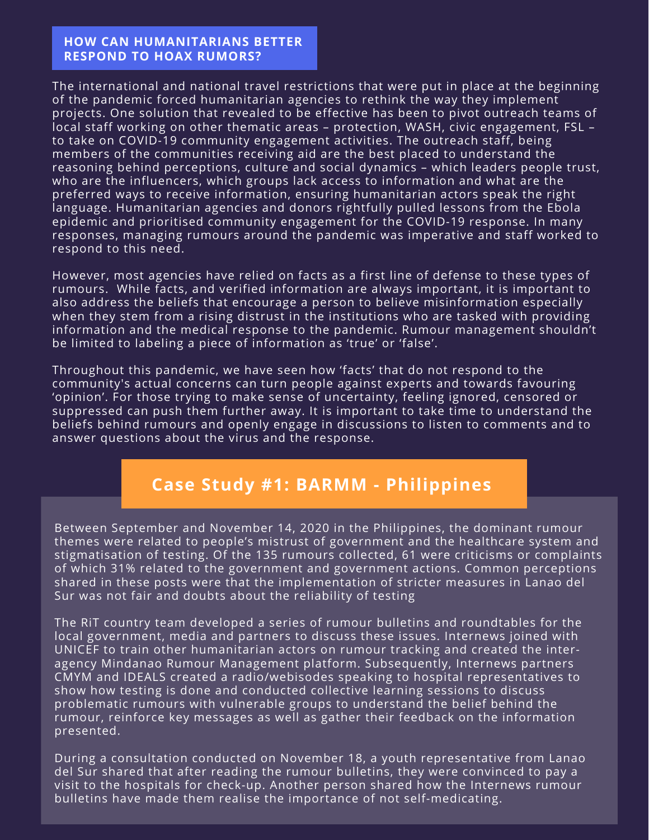#### **HOW CAN HUMANITARIANS BETTER RESPOND TO HOAX RUMORS?**

The international and national travel restrictions that were put in place at the beginning of the pandemic forced humanitarian agencies to rethink the way they implement projects. One solution that revealed to be effective has been to pivot outreach teams of local staff working on other thematic areas – protection, WASH, civic engagement, FSL – to take on COVID-19 community engagement activities. The outreach staff, being members of the communities receiving aid are the best placed to understand the reasoning behind perceptions, culture and social dynamics – which leaders people trust, who are the influencers, which groups lack access to information and what are the preferred ways to receive information, ensuring humanitarian actors speak the right language. Humanitarian agencies and donors rightfully pulled lessons from the Ebola epidemic and prioritised community engagement for the COVID-19 response. In many responses, managing rumours around the pandemic was imperative and staff worked to respond to this need.

However, most agencies have relied on facts as a first line of defense to these types of rumours. While facts, and verified information are always important, it is important to also address the beliefs that encourage a person to believe misinformation especially when they stem from a rising distrust in the institutions who are tasked with providing information and the medical response to the pandemic. Rumour management shouldn't be limited to labeling a piece of information as 'true' or 'false'.

Throughout this pandemic, we have seen how 'facts' that do not respond to the community's actual concerns can turn people against experts and towards favouring 'opinion'. For those trying to make sense of uncertainty, feeling ignored, censored or suppressed can push them further away. It is important to take time to understand the beliefs behind rumours and openly engage in discussions to listen to comments and to answer questions about the virus and the response.

### **Case Study #1: BARMM - Philippines**

Between September and November 14, 2020 in the Philippines, the dominant rumour themes were related to people's mistrust of government and the healthcare system and stigmatisation of testing. Of the 135 rumours collected, 61 were criticisms or complaints of which 31% related to the government and government actions. Common perceptions shared in these posts were that the implementation of stricter measures in Lanao del Sur was not fair and doubts about the reliability of testing

The RiT country team developed a series of rumour bulletins and roundtables for the local government, media and partners to discuss these issues. Internews joined with UNICEF to train other humanitarian actors on rumour tracking and created the interagency Mindanao Rumour Management platform. Subsequently, Internews partners CMYM and IDEALS created a radio/webisodes speaking to hospital representatives to show how testing is done and conducted collective learning sessions to discuss problematic rumours with vulnerable groups to understand the belief behind the rumour, reinforce key messages as well as gather their feedback on the information presented.

During a consultation conducted on November 18, a youth representative from Lanao del Sur shared that after reading the rumour bulletins, they were convinced to pay a visit to the hospitals for check-up. Another person shared how the Internews rumour bulletins have made them realise the importance of not self-medicating.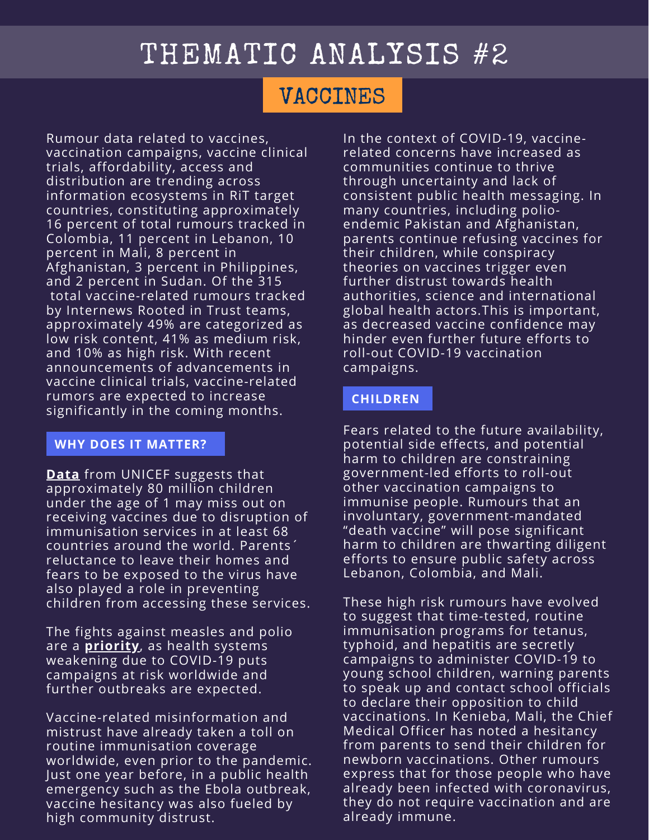### VACCINES

Rumour data related to vaccines, vaccination campaigns, vaccine clinical trials, affordability, access and distribution are trending across information ecosystems in RiT target countries, constituting approximately 16 percent of total rumours tracked in Colombia, 11 percent in Lebanon, 10 percent in Mali, 8 percent in Afghanistan, 3 percent in Philippines, and 2 percent in Sudan. Of the 315 total vaccine-related rumours tracked by Internews Rooted in Trust teams, approximately 49% are categorized as low risk content, 41% as medium risk, and 10% as high risk. With recent announcements of advancements in vaccine clinical trials, vaccine-related rumors are expected to increase significantly in the coming months.

#### **WHY DOES IT MATTER?**

**[Data](https://data.unicef.org/resources/immunization-coverage-are-we-losing-ground/)** from UNICEF suggests that approximately 80 million children under the age of 1 may miss out on receiving vaccines due to disruption of immunisation services in at least 68 countries around the world. Parents´ reluctance to leave their homes and fears to be exposed to the virus have also played a role in preventing children from accessing these services.

The fights against measles and polio are a **[priority](https://www.who.int/news/item/06-11-2020-unicef-and-who-call-for-emergency-action-to-avert-major-measles-and-polio-epidemics)**, as health systems weakening due to COVID-19 puts campaigns at risk worldwide and further outbreaks are expected.

Vaccine-related misinformation and mistrust have already taken a toll on routine immunisation coverage worldwide, even prior to the pandemic. Just one year before, in a public health emergency such as the Ebola outbreak, vaccine hesitancy was also fueled by high community distrust.

In the context of COVID-19, vaccinerelated concerns have increased as communities continue to thrive through uncertainty and lack of consistent public health messaging. In many countries, including polioendemic Pakistan and Afghanistan, parents continue refusing vaccines for their children, while conspiracy theories on vaccines trigger even further distrust towards health authorities, science and international global health actors.This is important, as decreased vaccine confidence may hinder even further future efforts to roll-out COVID-19 vaccination campaigns.

#### **CHILDREN**

Fears related to the future availability, potential side effects, and potential harm to children are constraining government-led efforts to roll-out other vaccination campaigns to immunise people. Rumours that an involuntary, government-mandated "death vaccine" will pose significant harm to children are thwarting diligent efforts to ensure public safety across Lebanon, Colombia, and Mali.

These high risk rumours have evolved to suggest that time-tested, routine immunisation programs for tetanus, typhoid, and hepatitis are secretly campaigns to administer COVID-19 to young school children, warning parents to speak up and contact school officials to declare their opposition to child vaccinations. In Kenieba, Mali, the Chief Medical Officer has noted a hesitancy from parents to send their children for newborn vaccinations. Other rumours express that for those people who have already been infected with coronavirus, they do not require vaccination and are already immune.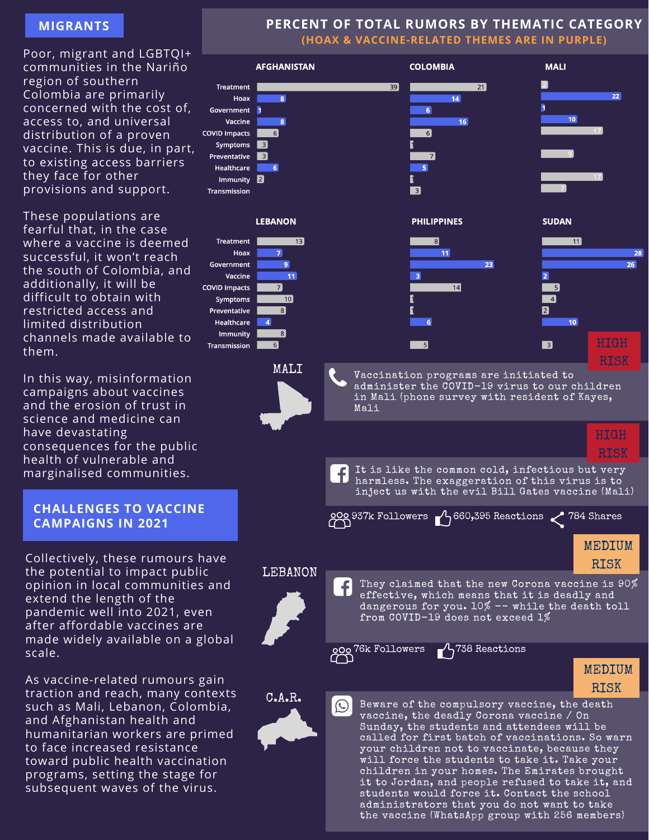#### **MIGRANTS**

Poor, migrant and LGBTQI+ communities in the Nariño region of southern Colombia are primarily concerned with the cost of, access to, and universal distribution of a proven vaccine. This is due, in part, to existing access barriers they face for other provisions and support.

These populations are fearful that, in the case where a vaccine is deemed successful, it won't reach the south of Colombia, and additionally, it will be difficult to obtain with restricted access and limited distribution channels made available to them.

In this way, misinformation campaigns about vaccines and the erosion of trust in science and medicine can have devastating consequences for the public health of vulnerable and marginalised communities.

#### **CHALLENGES TO VACCINE CAMPAIGNS IN 2021**

Collectively, these rumours have the potential to impact public opinion in local communities and extend the length of the pandemic well into 2021, even after affordable vaccines are made widely available on a global scale.

As vaccine-related rumours gain traction and reach, many contexts such as Mali, Lebanon, Colombia, and Afghanistan health and humanitarian workers are primed to face increased resistance toward public health vaccination programs, setting the stage for subsequent waves of the virus.

#### **PERCENT OF TOTAL RUMORS BY THEMATIC CATEGORY (HOAX & VACCINE-RELATED THEMES ARE IN PURPLE)**



the vaccine (WhatsApp group with 256 members)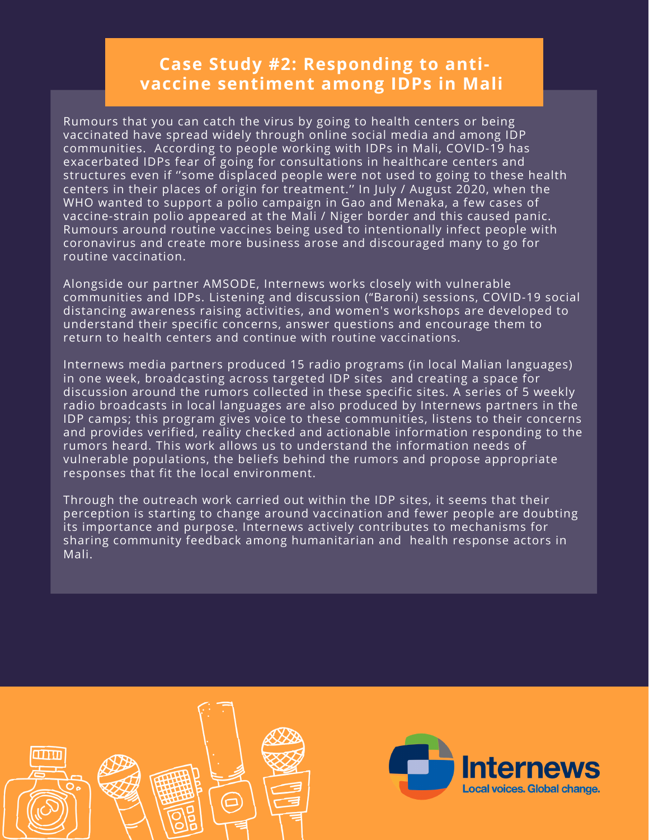### **Case Study #2: Responding to antivaccine sentiment among IDPs in Mali**

Rumours that you can catch the virus by going to health centers or being vaccinated have spread widely through online social media and among IDP communities. According to people working with IDPs in Mali, COVID-19 has exacerbated IDPs fear of going for consultations in healthcare centers and structures even if ''some displaced people were not used to going to these health centers in their places of origin for treatment.'' In July / August 2020, when the WHO wanted to support a polio campaign in Gao and Menaka, a few cases of vaccine-strain polio appeared at the Mali / Niger border and this caused panic. Rumours around routine vaccines being used to intentionally infect people with coronavirus and create more business arose and discouraged many to go for routine vaccination.

Alongside our partner AMSODE, Internews works closely with vulnerable communities and IDPs. Listening and discussion ("Baroni) sessions, COVID-19 social distancing awareness raising activities, and women's workshops are developed to understand their specific concerns, answer questions and encourage them to return to health centers and continue with routine vaccinations.

Internews media partners produced 15 radio programs (in local Malian languages) in one week, broadcasting across targeted IDP sites and creating a space for discussion around the rumors collected in these specific sites. A series of 5 weekly radio broadcasts in local languages are also produced by Internews partners in the IDP camps; this program gives voice to these communities, listens to their concerns and provides verified, reality checked and actionable information responding to the rumors heard. This work allows us to understand the information needs of vulnerable populations, the beliefs behind the rumors and propose appropriate responses that fit the local environment.

Through the outreach work carried out within the IDP sites, it seems that their perception is starting to change around vaccination and fewer people are doubting its importance and purpose. Internews actively contributes to mechanisms for sharing community feedback among humanitarian and health response actors in Mali.